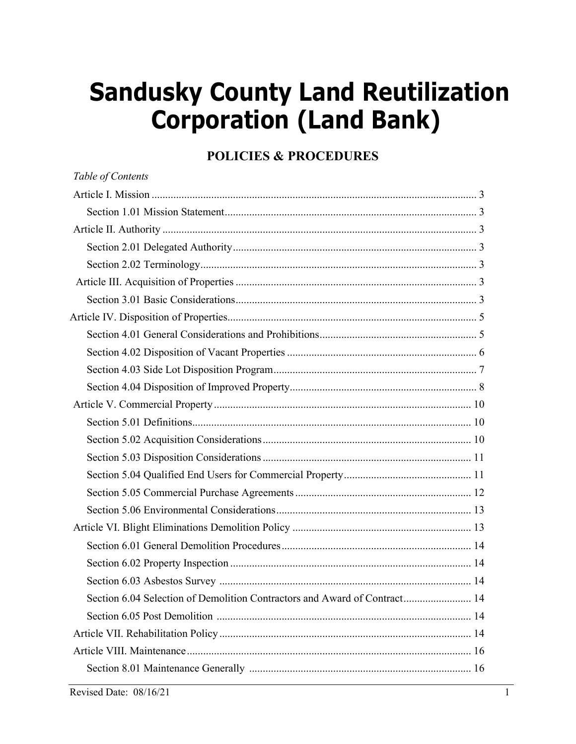# **Sandusky County Land Reutilization Corporation (Land Bank)**

# **POLICIES & PROCEDURES**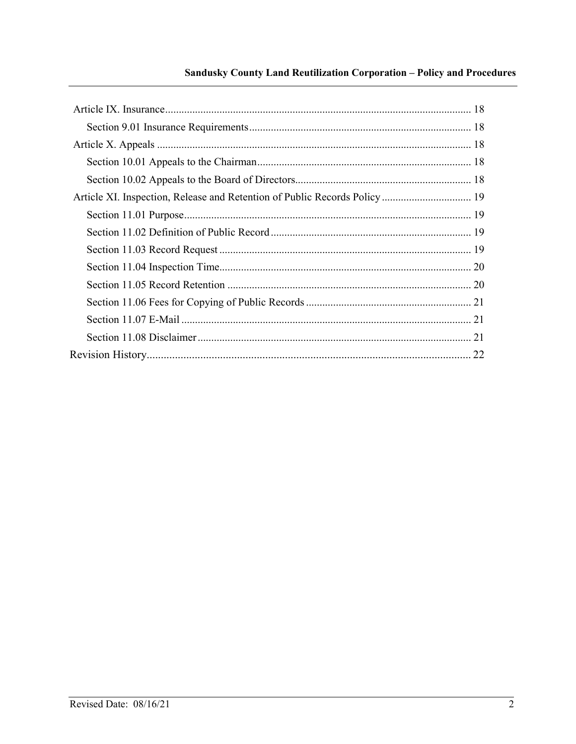# Sandusky County Land Reutilization Corporation - Policy and Procedures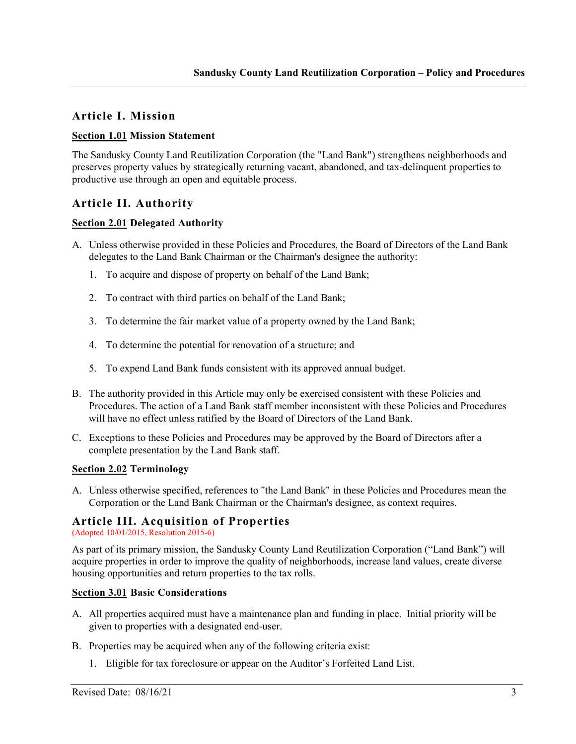# **Article I. Mission**

# **Section 1.01 Mission Statement**

The Sandusky County Land Reutilization Corporation (the "Land Bank") strengthens neighborhoods and preserves property values by strategically returning vacant, abandoned, and tax-delinquent properties to productive use through an open and equitable process.

# **Article II. Authority**

#### **Section 2.01 Delegated Authority**

- A. Unless otherwise provided in these Policies and Procedures, the Board of Directors of the Land Bank delegates to the Land Bank Chairman or the Chairman's designee the authority:
	- 1. To acquire and dispose of property on behalf of the Land Bank;
	- 2. To contract with third parties on behalf of the Land Bank;
	- 3. To determine the fair market value of a property owned by the Land Bank;
	- 4. To determine the potential for renovation of a structure; and
	- 5. To expend Land Bank funds consistent with its approved annual budget.
- B. The authority provided in this Article may only be exercised consistent with these Policies and Procedures. The action of a Land Bank staff member inconsistent with these Policies and Procedures will have no effect unless ratified by the Board of Directors of the Land Bank.
- C. Exceptions to these Policies and Procedures may be approved by the Board of Directors after a complete presentation by the Land Bank staff.

# **Section 2.02 Terminology**

A. Unless otherwise specified, references to "the Land Bank" in these Policies and Procedures mean the Corporation or the Land Bank Chairman or the Chairman's designee, as context requires.

# **Article III. Acquisition of Properties**

(Adopted 10/01/2015, Resolution 2015-6)

As part of its primary mission, the Sandusky County Land Reutilization Corporation ("Land Bank") will acquire properties in order to improve the quality of neighborhoods, increase land values, create diverse housing opportunities and return properties to the tax rolls.

#### **Section 3.01 Basic Considerations**

- A. All properties acquired must have a maintenance plan and funding in place. Initial priority will be given to properties with a designated end-user.
- B. Properties may be acquired when any of the following criteria exist:
	- 1. Eligible for tax foreclosure or appear on the Auditor's Forfeited Land List.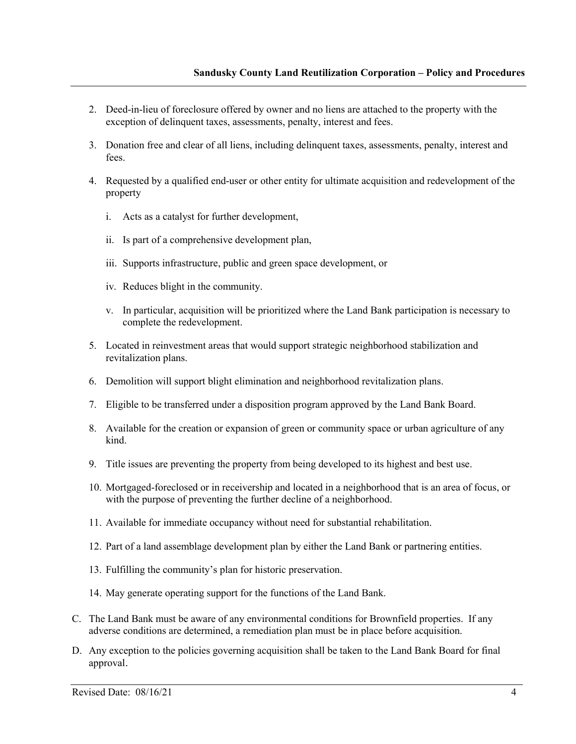- 2. Deed-in-lieu of foreclosure offered by owner and no liens are attached to the property with the exception of delinquent taxes, assessments, penalty, interest and fees.
- 3. Donation free and clear of all liens, including delinquent taxes, assessments, penalty, interest and fees.
- 4. Requested by a qualified end-user or other entity for ultimate acquisition and redevelopment of the property
	- i. Acts as a catalyst for further development,
	- ii. Is part of a comprehensive development plan,
	- iii. Supports infrastructure, public and green space development, or
	- iv. Reduces blight in the community.
	- v. In particular, acquisition will be prioritized where the Land Bank participation is necessary to complete the redevelopment.
- 5. Located in reinvestment areas that would support strategic neighborhood stabilization and revitalization plans.
- 6. Demolition will support blight elimination and neighborhood revitalization plans.
- 7. Eligible to be transferred under a disposition program approved by the Land Bank Board.
- 8. Available for the creation or expansion of green or community space or urban agriculture of any kind.
- 9. Title issues are preventing the property from being developed to its highest and best use.
- 10. Mortgaged-foreclosed or in receivership and located in a neighborhood that is an area of focus, or with the purpose of preventing the further decline of a neighborhood.
- 11. Available for immediate occupancy without need for substantial rehabilitation.
- 12. Part of a land assemblage development plan by either the Land Bank or partnering entities.
- 13. Fulfilling the community's plan for historic preservation.
- 14. May generate operating support for the functions of the Land Bank.
- C. The Land Bank must be aware of any environmental conditions for Brownfield properties. If any adverse conditions are determined, a remediation plan must be in place before acquisition.
- D. Any exception to the policies governing acquisition shall be taken to the Land Bank Board for final approval.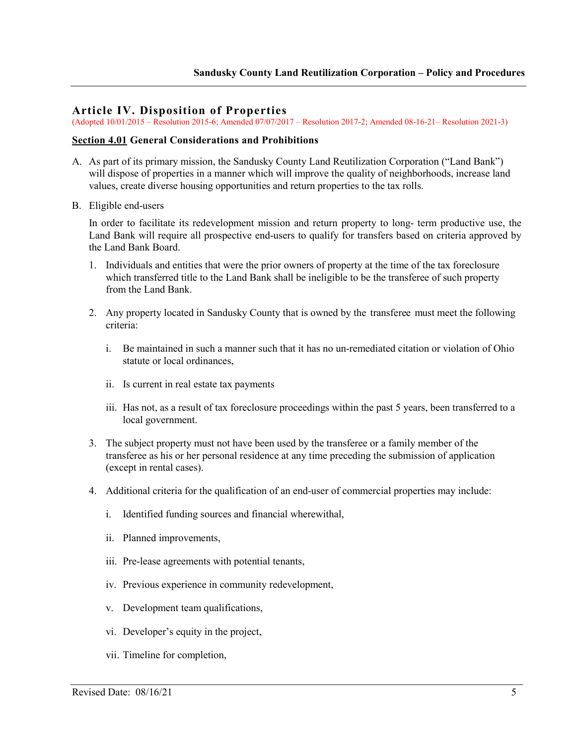## **Article IV. Disposition of Properties**

(Adopted 10/01/2015 – Resolution 2015-6; Amended 07/07/2017 – Resolution 2017-2; Amended 08-16-21– Resolution 2021-3)

#### **Section 4.01 General Considerations and Prohibitions**

- A. As part of its primary mission, the Sandusky County Land Reutilization Corporation ("Land Bank") will dispose of properties in a manner which will improve the quality of neighborhoods, increase land values, create diverse housing opportunities and return properties to the tax rolls.
- B. Eligible end-users

In order to facilitate its redevelopment mission and return property to long- term productive use, the Land Bank will require all prospective end-users to qualify for transfers based on criteria approved by the Land Bank Board.

- 1. Individuals and entities that were the prior owners of property at the time of the tax foreclosure which transferred title to the Land Bank shall be ineligible to be the transferee of such property from the Land Bank.
- 2. Any property located in Sandusky County that is owned by the transferee must meet the following criteria:
	- i. Be maintained in such a manner such that it has no un-remediated citation or violation of Ohio statute or local ordinances,
	- ii. Is current in real estate tax payments
	- iii. Has not, as a result of tax foreclosure proceedings within the past 5 years, been transferred to a local government.
- 3. The subject property must not have been used by the transferee or a family member of the transferee as his or her personal residence at any time preceding the submission of application (except in rental cases).
- 4. Additional criteria for the qualification of an end-user of commercial properties may include:
	- i. Identified funding sources and financial wherewithal,
	- ii. Planned improvements,
	- iii. Pre-lease agreements with potential tenants,
	- iv. Previous experience in community redevelopment,
	- v. Development team qualifications,
	- vi. Developer's equity in the project,
	- vii. Timeline for completion,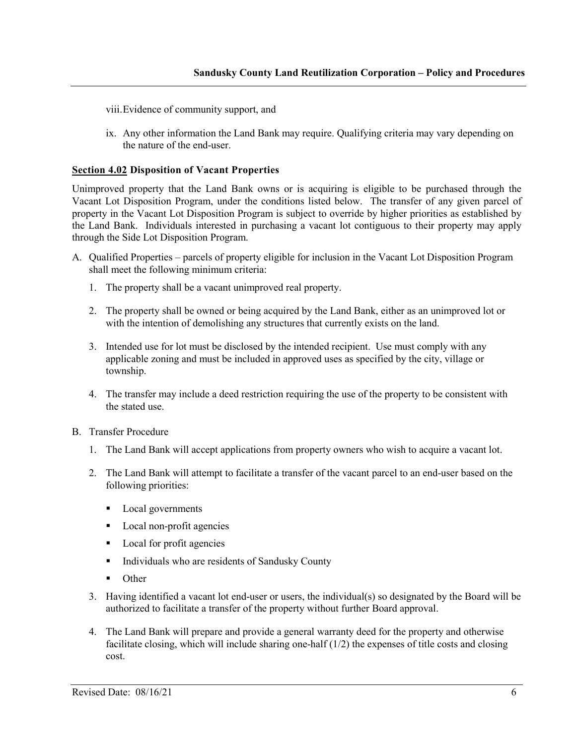viii.Evidence of community support, and

ix. Any other information the Land Bank may require. Qualifying criteria may vary depending on the nature of the end-user.

#### **Section 4.02 Disposition of Vacant Properties**

Unimproved property that the Land Bank owns or is acquiring is eligible to be purchased through the Vacant Lot Disposition Program, under the conditions listed below. The transfer of any given parcel of property in the Vacant Lot Disposition Program is subject to override by higher priorities as established by the Land Bank. Individuals interested in purchasing a vacant lot contiguous to their property may apply through the Side Lot Disposition Program.

- A. Qualified Properties parcels of property eligible for inclusion in the Vacant Lot Disposition Program shall meet the following minimum criteria:
	- 1. The property shall be a vacant unimproved real property.
	- 2. The property shall be owned or being acquired by the Land Bank, either as an unimproved lot or with the intention of demolishing any structures that currently exists on the land.
	- 3. Intended use for lot must be disclosed by the intended recipient. Use must comply with any applicable zoning and must be included in approved uses as specified by the city, village or township.
	- 4. The transfer may include a deed restriction requiring the use of the property to be consistent with the stated use.
- B. Transfer Procedure
	- 1. The Land Bank will accept applications from property owners who wish to acquire a vacant lot.
	- 2. The Land Bank will attempt to facilitate a transfer of the vacant parcel to an end-user based on the following priorities:
		- Local governments
		- **Local non-profit agencies**
		- Local for profit agencies
		- Individuals who are residents of Sandusky County
		- **Other**
	- 3. Having identified a vacant lot end-user or users, the individual(s) so designated by the Board will be authorized to facilitate a transfer of the property without further Board approval.
	- 4. The Land Bank will prepare and provide a general warranty deed for the property and otherwise facilitate closing, which will include sharing one-half (1/2) the expenses of title costs and closing cost.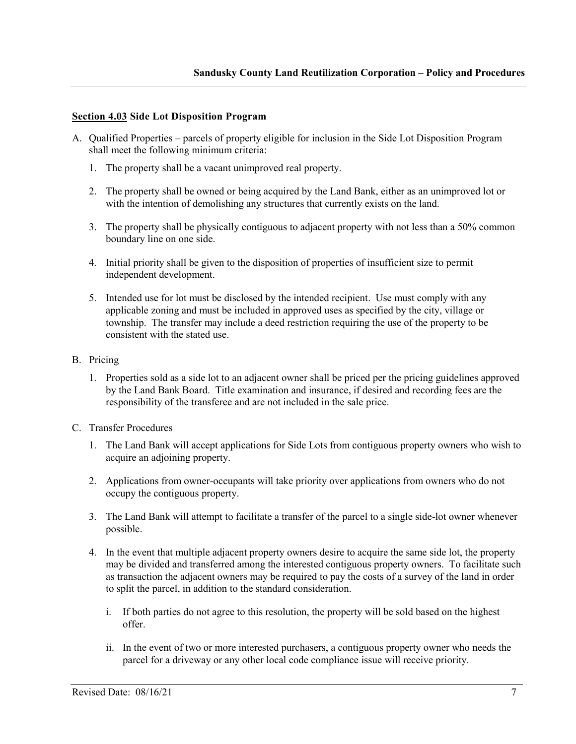## **Section 4.03 Side Lot Disposition Program**

- A. Qualified Properties parcels of property eligible for inclusion in the Side Lot Disposition Program shall meet the following minimum criteria:
	- 1. The property shall be a vacant unimproved real property.
	- 2. The property shall be owned or being acquired by the Land Bank, either as an unimproved lot or with the intention of demolishing any structures that currently exists on the land.
	- 3. The property shall be physically contiguous to adjacent property with not less than a 50% common boundary line on one side.
	- 4. Initial priority shall be given to the disposition of properties of insufficient size to permit independent development.
	- 5. Intended use for lot must be disclosed by the intended recipient. Use must comply with any applicable zoning and must be included in approved uses as specified by the city, village or township. The transfer may include a deed restriction requiring the use of the property to be consistent with the stated use.
- B. Pricing
	- 1. Properties sold as a side lot to an adjacent owner shall be priced per the pricing guidelines approved by the Land Bank Board. Title examination and insurance, if desired and recording fees are the responsibility of the transferee and are not included in the sale price.
- C. Transfer Procedures
	- 1. The Land Bank will accept applications for Side Lots from contiguous property owners who wish to acquire an adjoining property.
	- 2. Applications from owner-occupants will take priority over applications from owners who do not occupy the contiguous property.
	- 3. The Land Bank will attempt to facilitate a transfer of the parcel to a single side-lot owner whenever possible.
	- 4. In the event that multiple adjacent property owners desire to acquire the same side lot, the property may be divided and transferred among the interested contiguous property owners. To facilitate such as transaction the adjacent owners may be required to pay the costs of a survey of the land in order to split the parcel, in addition to the standard consideration.
		- i. If both parties do not agree to this resolution, the property will be sold based on the highest offer.
		- ii. In the event of two or more interested purchasers, a contiguous property owner who needs the parcel for a driveway or any other local code compliance issue will receive priority.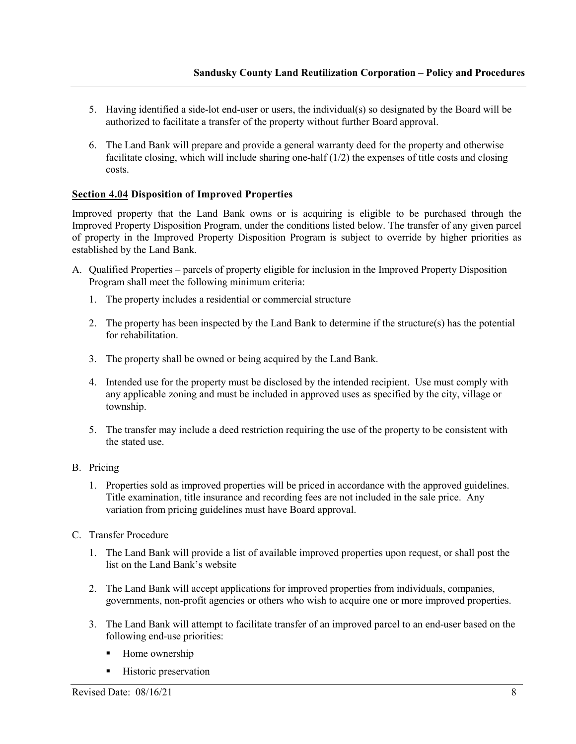- 5. Having identified a side-lot end-user or users, the individual(s) so designated by the Board will be authorized to facilitate a transfer of the property without further Board approval.
- 6. The Land Bank will prepare and provide a general warranty deed for the property and otherwise facilitate closing, which will include sharing one-half  $(1/2)$  the expenses of title costs and closing costs.

# **Section 4.04 Disposition of Improved Properties**

Improved property that the Land Bank owns or is acquiring is eligible to be purchased through the Improved Property Disposition Program, under the conditions listed below. The transfer of any given parcel of property in the Improved Property Disposition Program is subject to override by higher priorities as established by the Land Bank.

- A. Qualified Properties parcels of property eligible for inclusion in the Improved Property Disposition Program shall meet the following minimum criteria:
	- 1. The property includes a residential or commercial structure
	- 2. The property has been inspected by the Land Bank to determine if the structure(s) has the potential for rehabilitation.
	- 3. The property shall be owned or being acquired by the Land Bank.
	- 4. Intended use for the property must be disclosed by the intended recipient. Use must comply with any applicable zoning and must be included in approved uses as specified by the city, village or township.
	- 5. The transfer may include a deed restriction requiring the use of the property to be consistent with the stated use.
- B. Pricing
	- 1. Properties sold as improved properties will be priced in accordance with the approved guidelines. Title examination, title insurance and recording fees are not included in the sale price. Any variation from pricing guidelines must have Board approval.
- C. Transfer Procedure
	- 1. The Land Bank will provide a list of available improved properties upon request, or shall post the list on the Land Bank's website
	- 2. The Land Bank will accept applications for improved properties from individuals, companies, governments, non-profit agencies or others who wish to acquire one or more improved properties.
	- 3. The Land Bank will attempt to facilitate transfer of an improved parcel to an end-user based on the following end-use priorities:
		- Home ownership
		- Historic preservation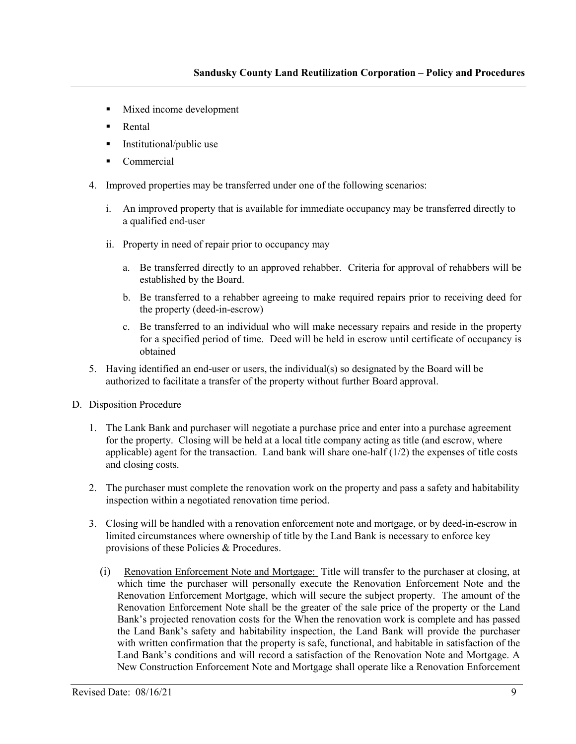- Mixed income development
- **Rental**
- Institutional/public use
- Commercial
- 4. Improved properties may be transferred under one of the following scenarios:
	- i. An improved property that is available for immediate occupancy may be transferred directly to a qualified end-user
	- ii. Property in need of repair prior to occupancy may
		- a. Be transferred directly to an approved rehabber. Criteria for approval of rehabbers will be established by the Board.
		- b. Be transferred to a rehabber agreeing to make required repairs prior to receiving deed for the property (deed-in-escrow)
		- c. Be transferred to an individual who will make necessary repairs and reside in the property for a specified period of time. Deed will be held in escrow until certificate of occupancy is obtained
- 5. Having identified an end-user or users, the individual(s) so designated by the Board will be authorized to facilitate a transfer of the property without further Board approval.
- D. Disposition Procedure
	- 1. The Lank Bank and purchaser will negotiate a purchase price and enter into a purchase agreement for the property. Closing will be held at a local title company acting as title (and escrow, where applicable) agent for the transaction. Land bank will share one-half (1/2) the expenses of title costs and closing costs.
	- 2. The purchaser must complete the renovation work on the property and pass a safety and habitability inspection within a negotiated renovation time period.
	- 3. Closing will be handled with a renovation enforcement note and mortgage, or by deed-in-escrow in limited circumstances where ownership of title by the Land Bank is necessary to enforce key provisions of these Policies & Procedures.
		- (i) Renovation Enforcement Note and Mortgage: Title will transfer to the purchaser at closing, at which time the purchaser will personally execute the Renovation Enforcement Note and the Renovation Enforcement Mortgage, which will secure the subject property. The amount of the Renovation Enforcement Note shall be the greater of the sale price of the property or the Land Bank's projected renovation costs for the When the renovation work is complete and has passed the Land Bank's safety and habitability inspection, the Land Bank will provide the purchaser with written confirmation that the property is safe, functional, and habitable in satisfaction of the Land Bank's conditions and will record a satisfaction of the Renovation Note and Mortgage. A New Construction Enforcement Note and Mortgage shall operate like a Renovation Enforcement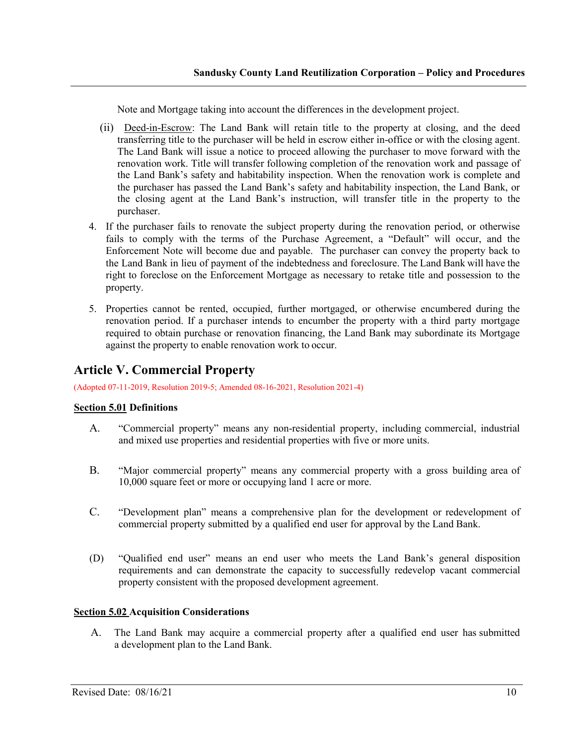Note and Mortgage taking into account the differences in the development project.

- (ii) Deed-in-Escrow: The Land Bank will retain title to the property at closing, and the deed transferring title to the purchaser will be held in escrow either in-office or with the closing agent. The Land Bank will issue a notice to proceed allowing the purchaser to move forward with the renovation work. Title will transfer following completion of the renovation work and passage of the Land Bank's safety and habitability inspection. When the renovation work is complete and the purchaser has passed the Land Bank's safety and habitability inspection, the Land Bank, or the closing agent at the Land Bank's instruction, will transfer title in the property to the purchaser.
- 4. If the purchaser fails to renovate the subject property during the renovation period, or otherwise fails to comply with the terms of the Purchase Agreement, a "Default" will occur, and the Enforcement Note will become due and payable. The purchaser can convey the property back to the Land Bank in lieu of payment of the indebtedness and foreclosure. The Land Bank will have the right to foreclose on the Enforcement Mortgage as necessary to retake title and possession to the property.
- 5. Properties cannot be rented, occupied, further mortgaged, or otherwise encumbered during the renovation period. If a purchaser intends to encumber the property with a third party mortgage required to obtain purchase or renovation financing, the Land Bank may subordinate its Mortgage against the property to enable renovation work to occur.

# **Article V. Commercial Property**

(Adopted 07-11-2019, Resolution 2019-5; Amended 08-16-2021, Resolution 2021-4)

# **Section 5.01 Definitions**

- A. "Commercial property" means any non-residential property, including commercial, industrial and mixed use properties and residential properties with five or more units.
- B. "Major commercial property" means any commercial property with a gross building area of 10,000 square feet or more or occupying land 1 acre or more.
- C. "Development plan" means a comprehensive plan for the development or redevelopment of commercial property submitted by a qualified end user for approval by the Land Bank.
- (D) "Qualified end user" means an end user who meets the Land Bank's general disposition requirements and can demonstrate the capacity to successfully redevelop vacant commercial property consistent with the proposed development agreement.

# **Section 5.02 Acquisition Considerations**

A. The Land Bank may acquire a commercial property after a qualified end user has submitted a development plan to the Land Bank.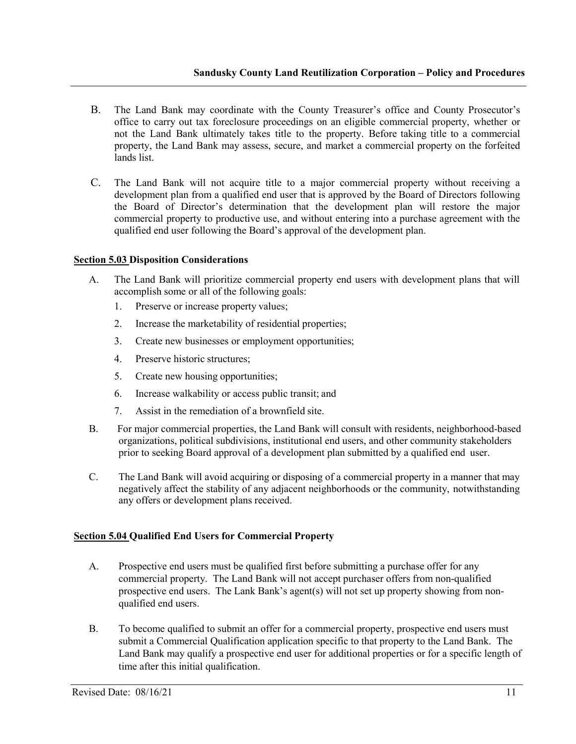- B. The Land Bank may coordinate with the County Treasurer's office and County Prosecutor's office to carry out tax foreclosure proceedings on an eligible commercial property, whether or not the Land Bank ultimately takes title to the property. Before taking title to a commercial property, the Land Bank may assess, secure, and market a commercial property on the forfeited lands list.
- C. The Land Bank will not acquire title to a major commercial property without receiving a development plan from a qualified end user that is approved by the Board of Directors following the Board of Director's determination that the development plan will restore the major commercial property to productive use, and without entering into a purchase agreement with the qualified end user following the Board's approval of the development plan.

#### **Section 5.03 Disposition Considerations**

- A. The Land Bank will prioritize commercial property end users with development plans that will accomplish some or all of the following goals:
	- 1. Preserve or increase property values;
	- 2. Increase the marketability of residential properties;
	- 3. Create new businesses or employment opportunities;
	- 4. Preserve historic structures;
	- 5. Create new housing opportunities;
	- 6. Increase walkability or access public transit; and
	- 7. Assist in the remediation of a brownfield site.
- B. For major commercial properties, the Land Bank will consult with residents, neighborhood-based organizations, political subdivisions, institutional end users, and other community stakeholders prior to seeking Board approval of a development plan submitted by a qualified end user.
- C. The Land Bank will avoid acquiring or disposing of a commercial property in a manner that may negatively affect the stability of any adjacent neighborhoods or the community, notwithstanding any offers or development plans received.

# **Section 5.04 Qualified End Users for Commercial Property**

- A. Prospective end users must be qualified first before submitting a purchase offer for any commercial property. The Land Bank will not accept purchaser offers from non-qualified prospective end users. The Lank Bank's agent(s) will not set up property showing from nonqualified end users.
- B. To become qualified to submit an offer for a commercial property, prospective end users must submit a Commercial Qualification application specific to that property to the Land Bank. The Land Bank may qualify a prospective end user for additional properties or for a specific length of time after this initial qualification.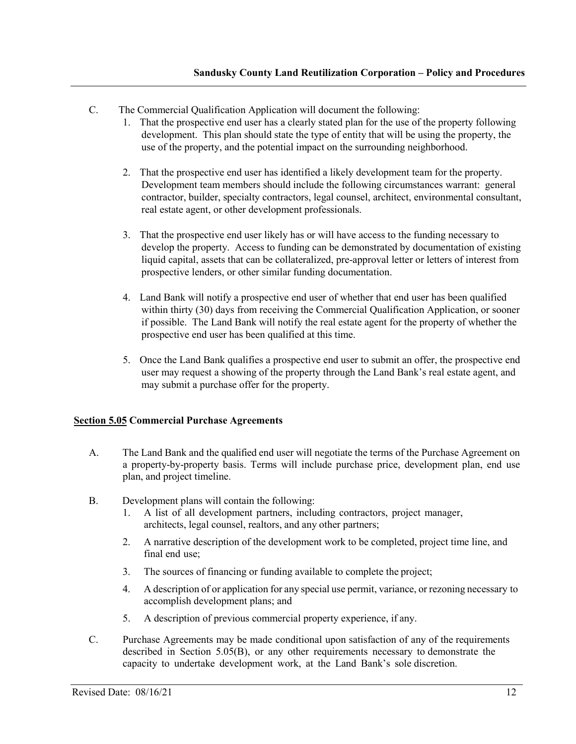- C. The Commercial Qualification Application will document the following:
	- 1. That the prospective end user has a clearly stated plan for the use of the property following development. This plan should state the type of entity that will be using the property, the use of the property, and the potential impact on the surrounding neighborhood.
	- 2. That the prospective end user has identified a likely development team for the property. Development team members should include the following circumstances warrant: general contractor, builder, specialty contractors, legal counsel, architect, environmental consultant, real estate agent, or other development professionals.
	- 3. That the prospective end user likely has or will have access to the funding necessary to develop the property. Access to funding can be demonstrated by documentation of existing liquid capital, assets that can be collateralized, pre-approval letter or letters of interest from prospective lenders, or other similar funding documentation.
	- 4. Land Bank will notify a prospective end user of whether that end user has been qualified within thirty (30) days from receiving the Commercial Qualification Application, or sooner if possible. The Land Bank will notify the real estate agent for the property of whether the prospective end user has been qualified at this time.
	- 5. Once the Land Bank qualifies a prospective end user to submit an offer, the prospective end user may request a showing of the property through the Land Bank's real estate agent, and may submit a purchase offer for the property.

# **Section 5.05 Commercial Purchase Agreements**

- A. The Land Bank and the qualified end user will negotiate the terms of the Purchase Agreement on a property-by-property basis. Terms will include purchase price, development plan, end use plan, and project timeline.
- B. Development plans will contain the following:
	- 1. A list of all development partners, including contractors, project manager, architects, legal counsel, realtors, and any other partners;
	- 2. A narrative description of the development work to be completed, project time line, and final end use;
	- 3. The sources of financing or funding available to complete the project;
	- 4. A description of or application for any special use permit, variance, or rezoning necessary to accomplish development plans; and
	- 5. A description of previous commercial property experience, if any.
- C. Purchase Agreements may be made conditional upon satisfaction of any of the requirements described in Section 5.05(B), or any other requirements necessary to demonstrate the capacity to undertake development work, at the Land Bank's sole discretion.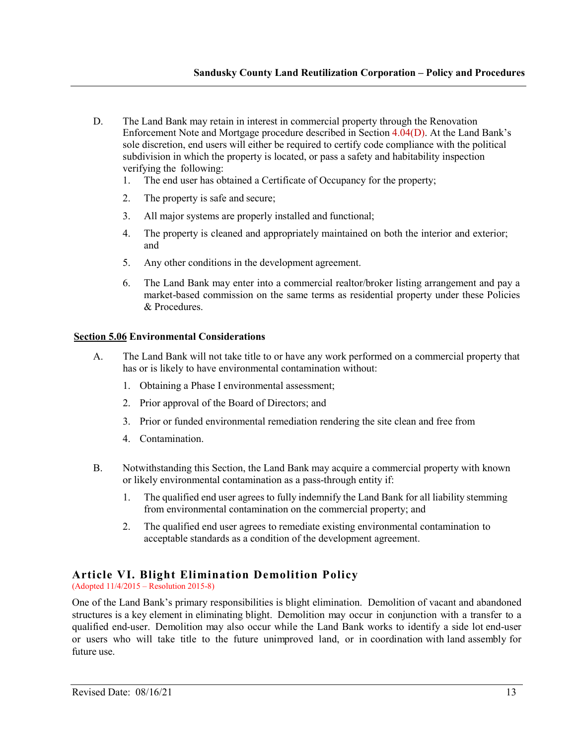- D. The Land Bank may retain in interest in commercial property through the Renovation Enforcement Note and Mortgage procedure described in Section 4.04(D). At the Land Bank's sole discretion, end users will either be required to certify code compliance with the political subdivision in which the property is located, or pass a safety and habitability inspection verifying the following:
	- 1. The end user has obtained a Certificate of Occupancy for the property;
	- 2. The property is safe and secure;
	- 3. All major systems are properly installed and functional;
	- 4. The property is cleaned and appropriately maintained on both the interior and exterior; and
	- 5. Any other conditions in the development agreement.
	- 6. The Land Bank may enter into a commercial realtor/broker listing arrangement and pay a market-based commission on the same terms as residential property under these Policies & Procedures.

#### **Section 5.06 Environmental Considerations**

- A. The Land Bank will not take title to or have any work performed on a commercial property that has or is likely to have environmental contamination without:
	- 1. Obtaining a Phase I environmental assessment;
	- 2. Prior approval of the Board of Directors; and
	- 3. Prior or funded environmental remediation rendering the site clean and free from
	- 4. Contamination.
- B. Notwithstanding this Section, the Land Bank may acquire a commercial property with known or likely environmental contamination as a pass-through entity if:
	- 1. The qualified end user agrees to fully indemnify the Land Bank for all liability stemming from environmental contamination on the commercial property; and
	- 2. The qualified end user agrees to remediate existing environmental contamination to acceptable standards as a condition of the development agreement.

# **Article VI. Blight Elimination Demolition Policy**

(Adopted 11/4/2015 – Resolution 2015-8)

One of the Land Bank's primary responsibilities is blight elimination. Demolition of vacant and abandoned structures is a key element in eliminating blight. Demolition may occur in conjunction with a transfer to a qualified end-user. Demolition may also occur while the Land Bank works to identify a side lot end-user or users who will take title to the future unimproved land, or in coordination with land assembly for future use.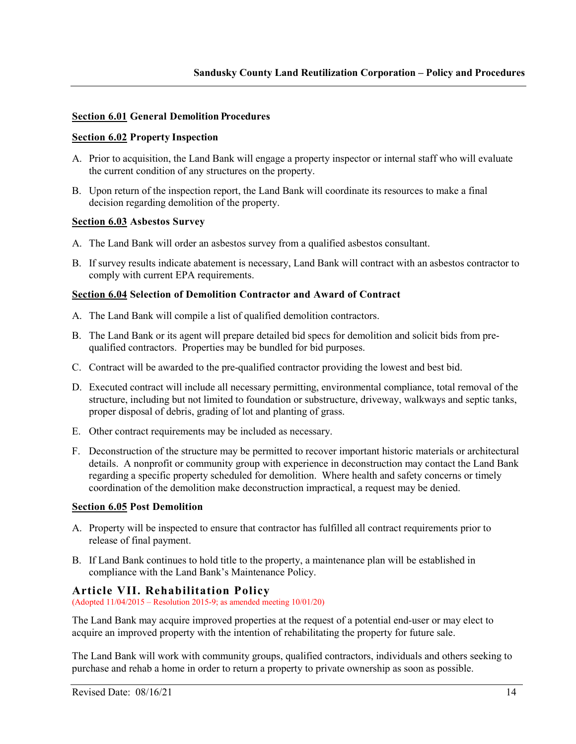## **Section 6.01 General Demolition Procedures**

#### **Section 6.02 Property Inspection**

- A. Prior to acquisition, the Land Bank will engage a property inspector or internal staff who will evaluate the current condition of any structures on the property.
- B. Upon return of the inspection report, the Land Bank will coordinate its resources to make a final decision regarding demolition of the property.

#### **Section 6.03 Asbestos Survey**

- A. The Land Bank will order an asbestos survey from a qualified asbestos consultant.
- B. If survey results indicate abatement is necessary, Land Bank will contract with an asbestos contractor to comply with current EPA requirements.

#### **Section 6.04 Selection of Demolition Contractor and Award of Contract**

- A. The Land Bank will compile a list of qualified demolition contractors.
- B. The Land Bank or its agent will prepare detailed bid specs for demolition and solicit bids from prequalified contractors. Properties may be bundled for bid purposes.
- C. Contract will be awarded to the pre-qualified contractor providing the lowest and best bid.
- D. Executed contract will include all necessary permitting, environmental compliance, total removal of the structure, including but not limited to foundation or substructure, driveway, walkways and septic tanks, proper disposal of debris, grading of lot and planting of grass.
- E. Other contract requirements may be included as necessary.
- F. Deconstruction of the structure may be permitted to recover important historic materials or architectural details. A nonprofit or community group with experience in deconstruction may contact the Land Bank regarding a specific property scheduled for demolition. Where health and safety concerns or timely coordination of the demolition make deconstruction impractical, a request may be denied.

#### **Section 6.05 Post Demolition**

- A. Property will be inspected to ensure that contractor has fulfilled all contract requirements prior to release of final payment.
- B. If Land Bank continues to hold title to the property, a maintenance plan will be established in compliance with the Land Bank's Maintenance Policy.

#### **Article VII. Rehabilitation Policy**

(Adopted 11/04/2015 – Resolution 2015-9; as amended meeting 10/01/20)

The Land Bank may acquire improved properties at the request of a potential end-user or may elect to acquire an improved property with the intention of rehabilitating the property for future sale.

The Land Bank will work with community groups, qualified contractors, individuals and others seeking to purchase and rehab a home in order to return a property to private ownership as soon as possible.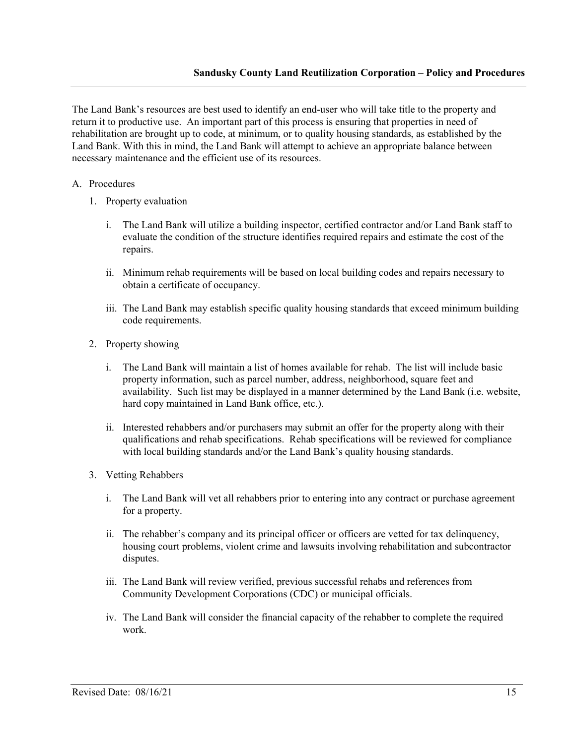The Land Bank's resources are best used to identify an end-user who will take title to the property and return it to productive use. An important part of this process is ensuring that properties in need of rehabilitation are brought up to code, at minimum, or to quality housing standards, as established by the Land Bank. With this in mind, the Land Bank will attempt to achieve an appropriate balance between necessary maintenance and the efficient use of its resources.

# A. Procedures

- 1. Property evaluation
	- i. The Land Bank will utilize a building inspector, certified contractor and/or Land Bank staff to evaluate the condition of the structure identifies required repairs and estimate the cost of the repairs.
	- ii. Minimum rehab requirements will be based on local building codes and repairs necessary to obtain a certificate of occupancy.
	- iii. The Land Bank may establish specific quality housing standards that exceed minimum building code requirements.
- 2. Property showing
	- i. The Land Bank will maintain a list of homes available for rehab. The list will include basic property information, such as parcel number, address, neighborhood, square feet and availability. Such list may be displayed in a manner determined by the Land Bank (i.e. website, hard copy maintained in Land Bank office, etc.).
	- ii. Interested rehabbers and/or purchasers may submit an offer for the property along with their qualifications and rehab specifications. Rehab specifications will be reviewed for compliance with local building standards and/or the Land Bank's quality housing standards.
- 3. Vetting Rehabbers
	- i. The Land Bank will vet all rehabbers prior to entering into any contract or purchase agreement for a property.
	- ii. The rehabber's company and its principal officer or officers are vetted for tax delinquency, housing court problems, violent crime and lawsuits involving rehabilitation and subcontractor disputes.
	- iii. The Land Bank will review verified, previous successful rehabs and references from Community Development Corporations (CDC) or municipal officials.
	- iv. The Land Bank will consider the financial capacity of the rehabber to complete the required work.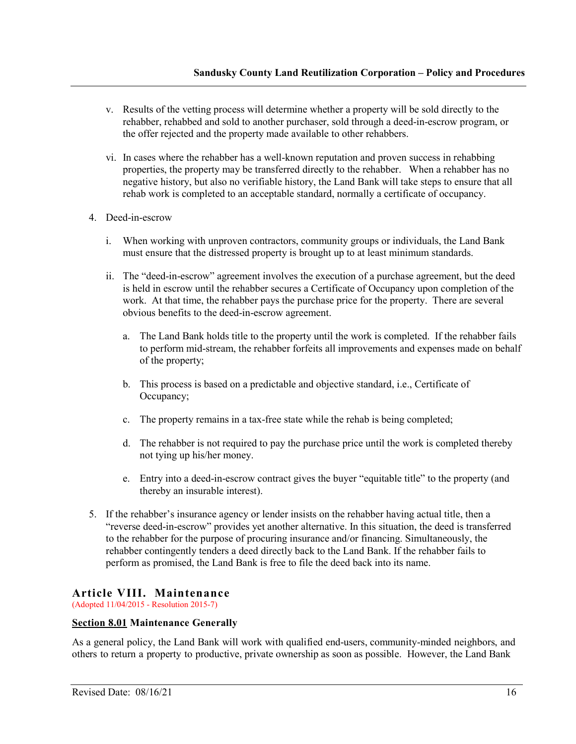- v. Results of the vetting process will determine whether a property will be sold directly to the rehabber, rehabbed and sold to another purchaser, sold through a deed-in-escrow program, or the offer rejected and the property made available to other rehabbers.
- vi. In cases where the rehabber has a well-known reputation and proven success in rehabbing properties, the property may be transferred directly to the rehabber. When a rehabber has no negative history, but also no verifiable history, the Land Bank will take steps to ensure that all rehab work is completed to an acceptable standard, normally a certificate of occupancy.
- 4. Deed-in-escrow
	- i. When working with unproven contractors, community groups or individuals, the Land Bank must ensure that the distressed property is brought up to at least minimum standards.
	- ii. The "deed-in-escrow" agreement involves the execution of a purchase agreement, but the deed is held in escrow until the rehabber secures a Certificate of Occupancy upon completion of the work. At that time, the rehabber pays the purchase price for the property. There are several obvious benefits to the deed-in-escrow agreement.
		- a. The Land Bank holds title to the property until the work is completed. If the rehabber fails to perform mid-stream, the rehabber forfeits all improvements and expenses made on behalf of the property;
		- b. This process is based on a predictable and objective standard, i.e., Certificate of Occupancy;
		- c. The property remains in a tax-free state while the rehab is being completed;
		- d. The rehabber is not required to pay the purchase price until the work is completed thereby not tying up his/her money.
		- e. Entry into a deed-in-escrow contract gives the buyer "equitable title" to the property (and thereby an insurable interest).
- 5. If the rehabber's insurance agency or lender insists on the rehabber having actual title, then a "reverse deed-in-escrow" provides yet another alternative. In this situation, the deed is transferred to the rehabber for the purpose of procuring insurance and/or financing. Simultaneously, the rehabber contingently tenders a deed directly back to the Land Bank. If the rehabber fails to perform as promised, the Land Bank is free to file the deed back into its name.

# **Article VIII. Maintenance**

(Adopted 11/04/2015 - Resolution 2015-7)

#### **Section 8.01 Maintenance Generally**

As a general policy, the Land Bank will work with qualified end-users, community-minded neighbors, and others to return a property to productive, private ownership as soon as possible. However, the Land Bank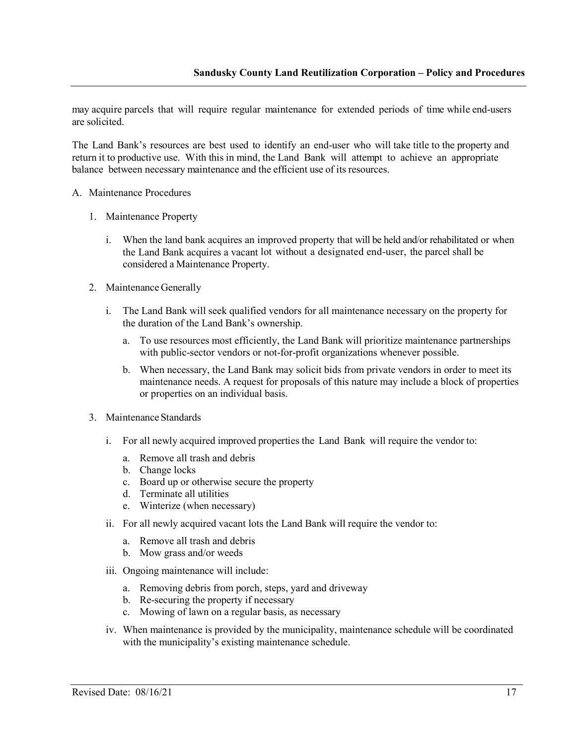may acquire parcels that will require regular maintenance for extended periods of time while end-users are solicited.

The Land Bank's resources are best used to identify an end-user who will take title to the property and return it to productive use. With this in mind, the Land Bank will attempt to achieve an appropriate balance between necessary maintenance and the efficient use of its resources.

#### A. Maintenance Procedures

- 1. Maintenance Property
	- i. When the land bank acquires an improved property that will be held and/or rehabilitated or when the Land Bank acquires a vacant lot without a designated end-user, the parcel shall be considered a Maintenance Property.
- 2. Maintenance Generally
	- i. The Land Bank will seek qualified vendors for all maintenance necessary on the property for the duration of the Land Bank's ownership.
		- a. To use resources most efficiently, the Land Bank will prioritize maintenance partnerships with public-sector vendors or not-for-profit organizations whenever possible.
		- b. When necessary, the Land Bank may solicit bids from private vendors in order to meet its maintenance needs. A request for proposals of this nature may include a block of properties or properties on an individual basis.
- 3. Maintenance Standards
	- i. For all newly acquired improved properties the Land Bank will require the vendor to:
		- a. Remove all trash and debris
		- b. Change locks
		- c. Board up or otherwise secure the property
		- d. Terminate all utilities
		- e. Winterize (when necessary)
	- ii. For all newly acquired vacant lots the Land Bank will require the vendor to:
		- a. Remove all trash and debris
		- b. Mow grass and/or weeds
	- iii. Ongoing maintenance will include:
		- a. Removing debris from porch, steps, yard and driveway
		- b. Re-securing the property if necessary
		- c. Mowing of lawn on a regular basis, as necessary
	- iv. When maintenance is provided by the municipality, maintenance schedule will be coordinated with the municipality's existing maintenance schedule.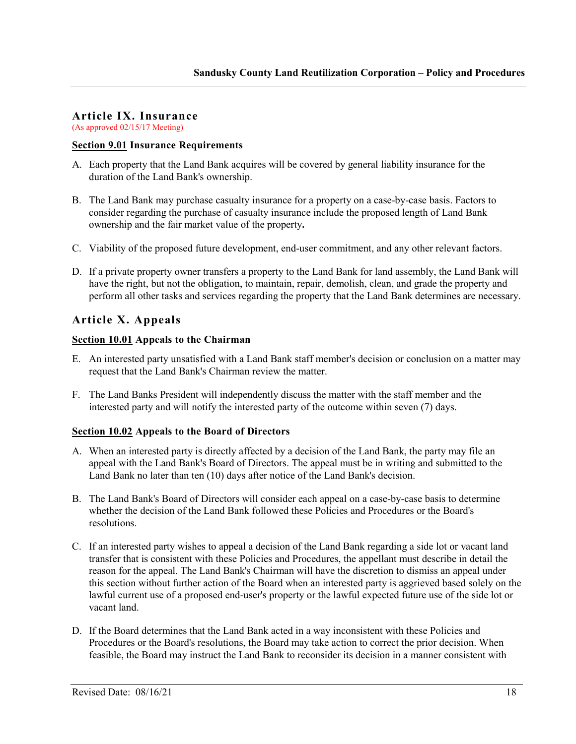# **Article IX. Insurance**

(As approved 02/15/17 Meeting)

# **Section 9.01 Insurance Requirements**

- A. Each property that the Land Bank acquires will be covered by general liability insurance for the duration of the Land Bank's ownership.
- B. The Land Bank may purchase casualty insurance for a property on a case-by-case basis. Factors to consider regarding the purchase of casualty insurance include the proposed length of Land Bank ownership and the fair market value of the property**.**
- C. Viability of the proposed future development, end-user commitment, and any other relevant factors.
- D. If a private property owner transfers a property to the Land Bank for land assembly, the Land Bank will have the right, but not the obligation, to maintain, repair, demolish, clean, and grade the property and perform all other tasks and services regarding the property that the Land Bank determines are necessary.

# **Article X. Appeals**

# **Section 10.01 Appeals to the Chairman**

- E. An interested party unsatisfied with a Land Bank staff member's decision or conclusion on a matter may request that the Land Bank's Chairman review the matter.
- F. The Land Banks President will independently discuss the matter with the staff member and the interested party and will notify the interested party of the outcome within seven (7) days.

# **Section 10.02 Appeals to the Board of Directors**

- A. When an interested party is directly affected by a decision of the Land Bank, the party may file an appeal with the Land Bank's Board of Directors. The appeal must be in writing and submitted to the Land Bank no later than ten (10) days after notice of the Land Bank's decision.
- B. The Land Bank's Board of Directors will consider each appeal on a case-by-case basis to determine whether the decision of the Land Bank followed these Policies and Procedures or the Board's resolutions.
- C. If an interested party wishes to appeal a decision of the Land Bank regarding a side lot or vacant land transfer that is consistent with these Policies and Procedures, the appellant must describe in detail the reason for the appeal. The Land Bank's Chairman will have the discretion to dismiss an appeal under this section without further action of the Board when an interested party is aggrieved based solely on the lawful current use of a proposed end-user's property or the lawful expected future use of the side lot or vacant land.
- D. If the Board determines that the Land Bank acted in a way inconsistent with these Policies and Procedures or the Board's resolutions, the Board may take action to correct the prior decision. When feasible, the Board may instruct the Land Bank to reconsider its decision in a manner consistent with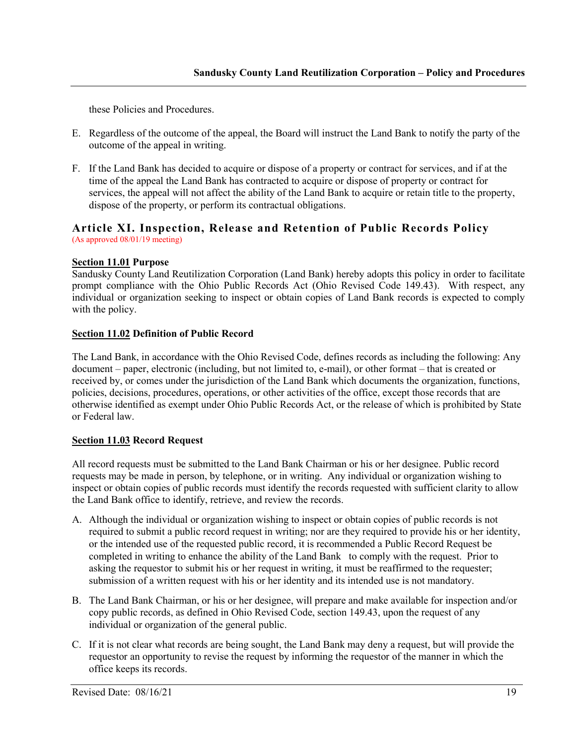these Policies and Procedures.

- E. Regardless of the outcome of the appeal, the Board will instruct the Land Bank to notify the party of the outcome of the appeal in writing.
- F. If the Land Bank has decided to acquire or dispose of a property or contract for services, and if at the time of the appeal the Land Bank has contracted to acquire or dispose of property or contract for services, the appeal will not affect the ability of the Land Bank to acquire or retain title to the property, dispose of the property, or perform its contractual obligations.

## **Article XI. Inspection, Release and Retention of Public Records Policy** (As approved 08/01/19 meeting)

#### **Section 11.01 Purpose**

Sandusky County Land Reutilization Corporation (Land Bank) hereby adopts this policy in order to facilitate prompt compliance with the Ohio Public Records Act (Ohio Revised Code 149.43). With respect, any individual or organization seeking to inspect or obtain copies of Land Bank records is expected to comply with the policy.

#### **Section 11.02 Definition of Public Record**

The Land Bank, in accordance with the Ohio Revised Code, defines records as including the following: Any document – paper, electronic (including, but not limited to, e-mail), or other format – that is created or received by, or comes under the jurisdiction of the Land Bank which documents the organization, functions, policies, decisions, procedures, operations, or other activities of the office, except those records that are otherwise identified as exempt under Ohio Public Records Act, or the release of which is prohibited by State or Federal law.

# **Section 11.03 Record Request**

All record requests must be submitted to the Land Bank Chairman or his or her designee. Public record requests may be made in person, by telephone, or in writing. Any individual or organization wishing to inspect or obtain copies of public records must identify the records requested with sufficient clarity to allow the Land Bank office to identify, retrieve, and review the records.

- A. Although the individual or organization wishing to inspect or obtain copies of public records is not required to submit a public record request in writing; nor are they required to provide his or her identity, or the intended use of the requested public record, it is recommended a Public Record Request be completed in writing to enhance the ability of the Land Bank to comply with the request. Prior to asking the requestor to submit his or her request in writing, it must be reaffirmed to the requester; submission of a written request with his or her identity and its intended use is not mandatory.
- B. The Land Bank Chairman, or his or her designee, will prepare and make available for inspection and/or copy public records, as defined in Ohio Revised Code, section 149.43, upon the request of any individual or organization of the general public.
- C. If it is not clear what records are being sought, the Land Bank may deny a request, but will provide the requestor an opportunity to revise the request by informing the requestor of the manner in which the office keeps its records.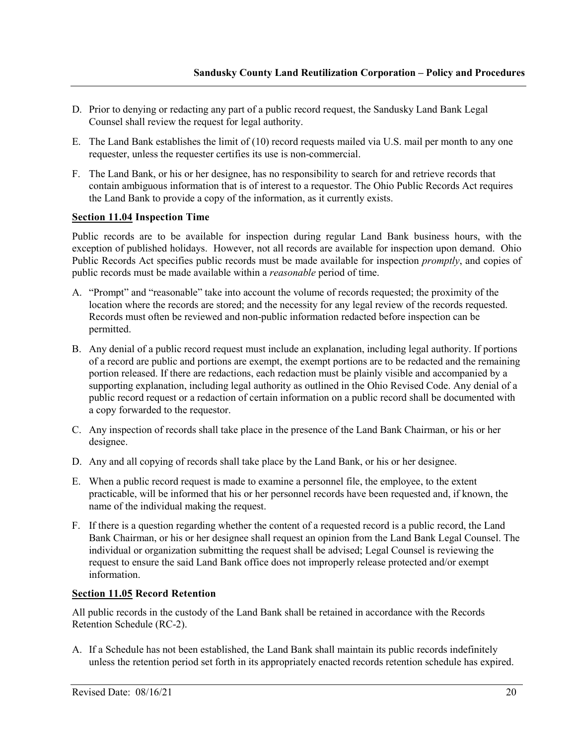- D. Prior to denying or redacting any part of a public record request, the Sandusky Land Bank Legal Counsel shall review the request for legal authority.
- E. The Land Bank establishes the limit of (10) record requests mailed via U.S. mail per month to any one requester, unless the requester certifies its use is non-commercial.
- F. The Land Bank, or his or her designee, has no responsibility to search for and retrieve records that contain ambiguous information that is of interest to a requestor. The Ohio Public Records Act requires the Land Bank to provide a copy of the information, as it currently exists.

# **Section 11.04 Inspection Time**

Public records are to be available for inspection during regular Land Bank business hours, with the exception of published holidays. However, not all records are available for inspection upon demand. Ohio Public Records Act specifies public records must be made available for inspection *promptly*, and copies of public records must be made available within a *reasonable* period of time.

- A. "Prompt" and "reasonable" take into account the volume of records requested; the proximity of the location where the records are stored; and the necessity for any legal review of the records requested. Records must often be reviewed and non-public information redacted before inspection can be permitted.
- B. Any denial of a public record request must include an explanation, including legal authority. If portions of a record are public and portions are exempt, the exempt portions are to be redacted and the remaining portion released. If there are redactions, each redaction must be plainly visible and accompanied by a supporting explanation, including legal authority as outlined in the Ohio Revised Code. Any denial of a public record request or a redaction of certain information on a public record shall be documented with a copy forwarded to the requestor.
- C. Any inspection of records shall take place in the presence of the Land Bank Chairman, or his or her designee.
- D. Any and all copying of records shall take place by the Land Bank, or his or her designee.
- E. When a public record request is made to examine a personnel file, the employee, to the extent practicable, will be informed that his or her personnel records have been requested and, if known, the name of the individual making the request.
- F. If there is a question regarding whether the content of a requested record is a public record, the Land Bank Chairman, or his or her designee shall request an opinion from the Land Bank Legal Counsel. The individual or organization submitting the request shall be advised; Legal Counsel is reviewing the request to ensure the said Land Bank office does not improperly release protected and/or exempt information.

# **Section 11.05 Record Retention**

All public records in the custody of the Land Bank shall be retained in accordance with the Records Retention Schedule (RC-2).

A. If a Schedule has not been established, the Land Bank shall maintain its public records indefinitely unless the retention period set forth in its appropriately enacted records retention schedule has expired.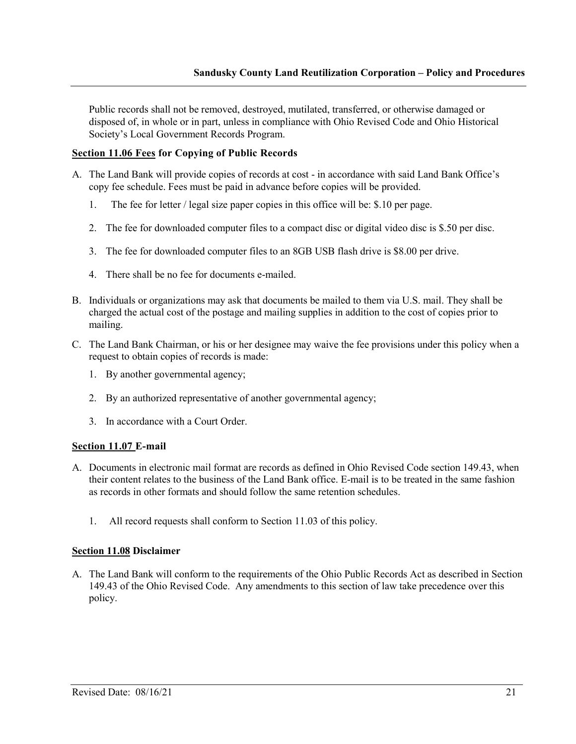Public records shall not be removed, destroyed, mutilated, transferred, or otherwise damaged or disposed of, in whole or in part, unless in compliance with Ohio Revised Code and Ohio Historical Society's Local Government Records Program.

# **Section 11.06 Fees for Copying of Public Records**

- A. The Land Bank will provide copies of records at cost in accordance with said Land Bank Office's copy fee schedule. Fees must be paid in advance before copies will be provided.
	- 1. The fee for letter / legal size paper copies in this office will be: \$.10 per page.
	- 2. The fee for downloaded computer files to a compact disc or digital video disc is \$.50 per disc.
	- 3. The fee for downloaded computer files to an 8GB USB flash drive is \$8.00 per drive.
	- 4. There shall be no fee for documents e-mailed.
- B. Individuals or organizations may ask that documents be mailed to them via U.S. mail. They shall be charged the actual cost of the postage and mailing supplies in addition to the cost of copies prior to mailing.
- C. The Land Bank Chairman, or his or her designee may waive the fee provisions under this policy when a request to obtain copies of records is made:
	- 1. By another governmental agency;
	- 2. By an authorized representative of another governmental agency;
	- 3. In accordance with a Court Order.

#### **Section 11.07 E-mail**

- A. Documents in electronic mail format are records as defined in Ohio Revised Code section 149.43, when their content relates to the business of the Land Bank office. E-mail is to be treated in the same fashion as records in other formats and should follow the same retention schedules.
	- 1. All record requests shall conform to Section 11.03 of this policy.

#### **Section 11.08 Disclaimer**

A. The Land Bank will conform to the requirements of the Ohio Public Records Act as described in Section 149.43 of the Ohio Revised Code. Any amendments to this section of law take precedence over this policy.